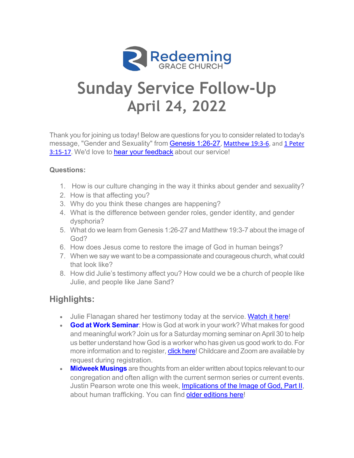

# **Sunday Service Follow-Up April 24, 2022**

Thank you for joining us today! Below are questions for you to consider related to today's message, "Gender and Sexuality" from [Genesis 1:2](https://www.esv.org/Genesis+1/)6-27[, Matthew 19](https://www.esv.org/Matthew+19/):3-[6, and 1 Peter](https://www.esv.org/1+Peter+3/)  [3:15-17.](https://www.esv.org/1+Peter+3/) We'd love to [hear your feedbac](mailto:akrafsig@rgcfairfax.org?subject=Sunday%20Service%20Feedback)k about our service!

### **Questions:**

- 1. How is our culture changing in the way it thinks about gender and sexuality?
- 2. How is that affecting you?
- 3. Why do you think these changes are happening?
- 4. What is the difference between gender roles, gender identity, and gender dysphoria?
- 5. What do we learn from Genesis 1:26-27 and Matthew 19:3-7 about the image of God?
- 6. How does Jesus come to restore the image of God in human beings?
- 7. When we say we want to be a compassionate and courageous church, what could that look like?
- 8. How did Julie's testimony affect you? How could we be a church of people like Julie, and people like Jane Sand?

# **Highlights:**

- Julie Flanagan shared her testimony today at the service. [Watch it](https://youtu.be/KWTAOE7KfIQ?t=3080) here!
- **[God at Work Semina](https://rgcfairfax.org/event/god-at-work-seminar/)r**: How is God at work in your work? What makes for good and meaningful work? Join us for a Saturday morning seminar on April 30 to help us better understand how God is a worker who has given us good work to do. For more information and to register, [click here](https://rgcfairfax.org/event/god-at-work-seminar/)! Childcare and Zoom are available by request during registration.
- **[Midweek Musings](https://rgcfairfax.org/midweek-musings/)** are thoughts from an elder written about topics relevant to our congregation and often allign with the current sermon series or current events. Justin Pearson wrote one this week, [Implications of the Image of God, P](https://rgcfairfax.org/implications-of-the-image-of-god-part-2/)art II, about human trafficking. You can find [older editions h](https://rgcfairfax.org/midweek-musings/)ere!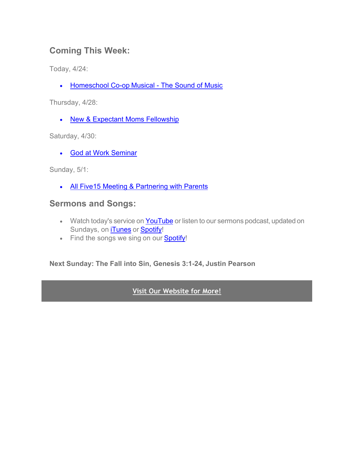## **Coming This Week:**

Today, 4/24:

• Homeschool Co-op [Musical - The Sound of M](https://rgcfairfax.org/event/hea-musical-the-sound-of-music-4/)usic

Thursday, 4/28:

• [New & Expectant Moms Fellowsh](https://rgcfairfax.org/event/new-expectant-moms-fellowship/2022-04-28/)ip

Saturday, 4/30:

• [God at Work Semina](https://rgcfairfax.org/event/god-at-work-seminar/)r

Sunday, 5/1:

• [All Five15 Meeting &](https://rgcfairfax.org/event/five15-youth-ministry-13/) Partnering with Parents

## **Sermons and Songs:**

- Watch today's service on **[YouTub](https://www.youtube.com/channel/UCvdSNQbpABVJ9Qg1uqjHqJA)e** or listen to our sermons podcast, updated on Sundays, on [iTune](https://podcasts.apple.com/us/podcast/rgc-sermons/id1614688303)s or [Spot](https://open.spotify.com/show/2IQkke6N761s8TunOxca6Y)ify!
- Find the songs we sing on our **[Spo](https://open.spotify.com/user/7q2nkz17kwrrk9khc4dv13gxh/playlists)tify!**

**Next Sunday: The Fall into Sin, Genesis 3:1-24, Justin Pearson**

## **[Visit Our Website for More!](https://rgcfairfax.org/resources/sermons/)**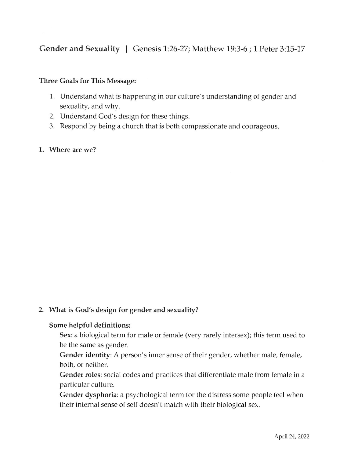#### **Three Goals for This Message:**

- 1. Understand what is happening in our culture's understanding of gender and sexuality, and why.
- 2. Understand God's design for these things.
- 3. Respond by being a church that is both compassionate and courageous.
- 1. Where are we?

#### 2. What is God's design for gender and sexuality?

#### Some helpful definitions:

Sex: a biological term for male or female (very rarely intersex); this term used to be the same as gender.

Gender identity: A person's inner sense of their gender, whether male, female, both, or neither.

Gender roles: social codes and practices that differentiate male from female in a particular culture.

Gender dysphoria: a psychological term for the distress some people feel when their internal sense of self doesn't match with their biological sex.